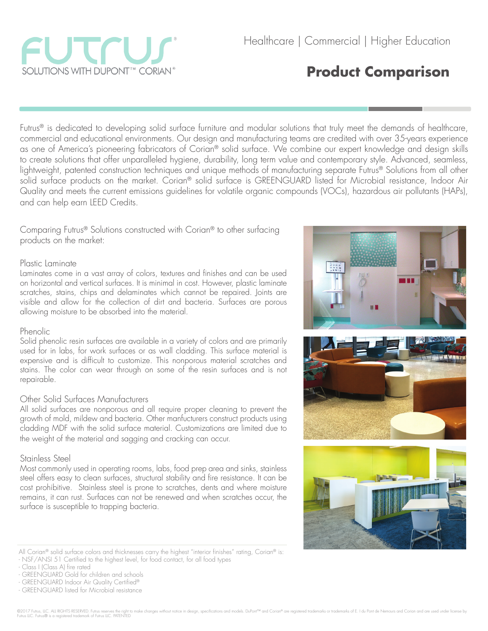

# **Product Comparison**

Futrus® is dedicated to developing solid surface furniture and modular solutions that truly meet the demands of healthcare, commercial and educational environments. Our design and manufacturing teams are credited with over 35-years experience as one of America's pioneering fabricators of Corian® solid surface. We combine our expert knowledge and design skills to create solutions that offer unparalleled hygiene, durability, long term value and contemporary style. Advanced, seamless, lightweight, patented construction techniques and unique methods of manufacturing separate Futrus® Solutions from all other solid surface products on the market. Corian® solid surface is GREENGUARD listed for Microbial resistance, Indoor Air Quality and meets the current emissions guidelines for volatile organic compounds (VOCs), hazardous air pollutants (HAPs), and can help earn LEED Credits.

Comparing Futrus® Solutions constructed with Corian® to other surfacing products on the market:

#### Plastic Laminate

Laminates come in a vast array of colors, textures and finishes and can be used on horizontal and vertical surfaces. It is minimal in cost. However, plastic laminate scratches, stains, chips and delaminates which cannot be repaired. Joints are visible and allow for the collection of dirt and bacteria. Surfaces are porous allowing moisture to be absorbed into the material.

#### Phenolic

Solid phenolic resin surfaces are available in a variety of colors and are primarily used for in labs, for work surfaces or as wall cladding. This surface material is expensive and is difficult to customize. This nonporous material scratches and stains. The color can wear through on some of the resin surfaces and is not repairable.

## Other Solid Surfaces Manufacturers

All solid surfaces are nonporous and all require proper cleaning to prevent the growth of mold, mildew and bacteria. Other manfucturers construct products using cladding MDF with the solid surface material. Customizations are limited due to the weight of the material and sagging and cracking can occur.

## Stainless Steel

Most commonly used in operating rooms, labs, food prep area and sinks, stainless steel offers easy to clean surfaces, structural stability and fire resistance. It can be cost prohibitive. Stainless steel is prone to scratches, dents and where moisture remains, it can rust. Surfaces can not be renewed and when scratches occur, the surface is susceptible to trapping bacteria.



<sup>-</sup> Class I (Class A) fire rated



<sup>-</sup> GREENGUARD Gold for children and schools

<sup>-</sup> GREENGUARD Indoor Air Quality Certified®

<sup>-</sup> GREENGUARD listed for Microbial resistance